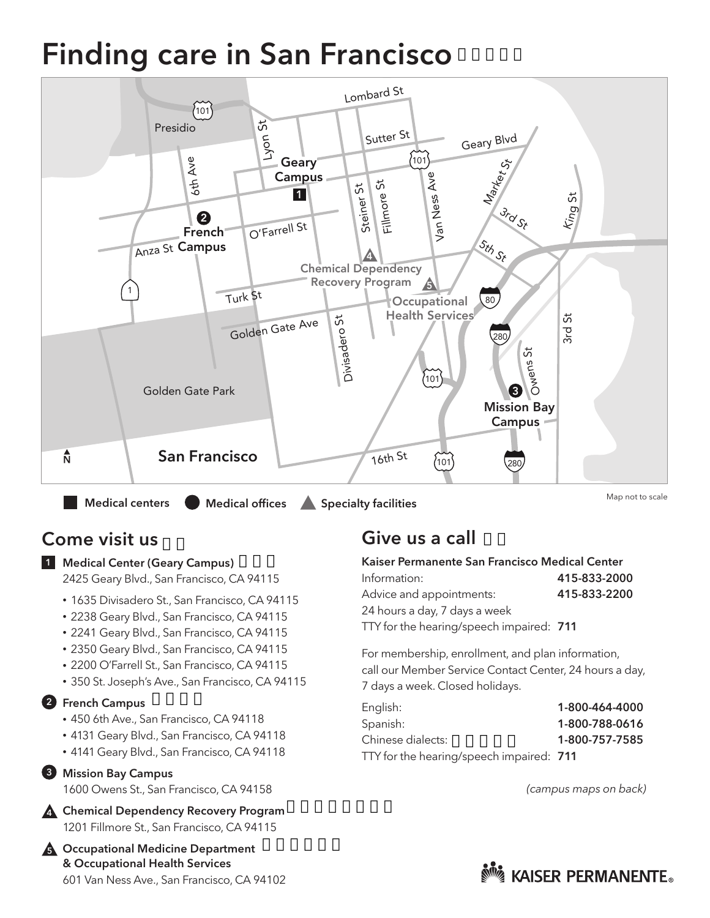# Finding care in San Francisco



## Come visit us

#### 1 Medical Center (Geary Campus)

2425 Geary Blvd., San Francisco, CA 94115

- 1635 Divisadero St., San Francisco, CA 94115
- 2238 Geary Blvd., San Francisco, CA 94115
- 2241 Geary Blvd., San Francisco, CA 94115
- 2350 Geary Blvd., San Francisco, CA 94115
- 2200 O'Farrell St., San Francisco, CA 94115
- 350 St. Joseph's Ave., San Francisco, CA 94115

#### 2 French Campus

- 450 6th Ave., San Francisco, CA 94118
- 4131 Geary Blvd., San Francisco, CA 94118
- 4141 Geary Blvd., San Francisco, CA 94118

#### <sup>3</sup> Mission Bay Campus

1600 Owens St., San Francisco, CA 94158

**A** Chemical Dependency Recovery Program 1201 Fillmore St., San Francisco, CA 94115

**A** Occupational Medicine Department & Occupational Health Services 601 Van Ness Ave., San Francisco, CA 94102

## **Give us a call**

#### Kaiser Permanente San Francisco Medical Center

| Information:                             | 415-833-2000 |
|------------------------------------------|--------------|
| Advice and appointments:                 | 415-833-2200 |
| 24 hours a day, 7 days a week            |              |
| TTY for the hearing/speech impaired: 711 |              |

For membership, enrollment, and plan information, call our Member Service Contact Center, 24 hours a day, 7 days a week. Closed holidays.

| English:                                 | 1-800-464-4000 |
|------------------------------------------|----------------|
| Spanish:                                 | 1-800-788-0616 |
| Chinese dialects:                        | 1-800-757-7585 |
| TTY for the hearing/speech impaired: 711 |                |

*(campus maps on back)*